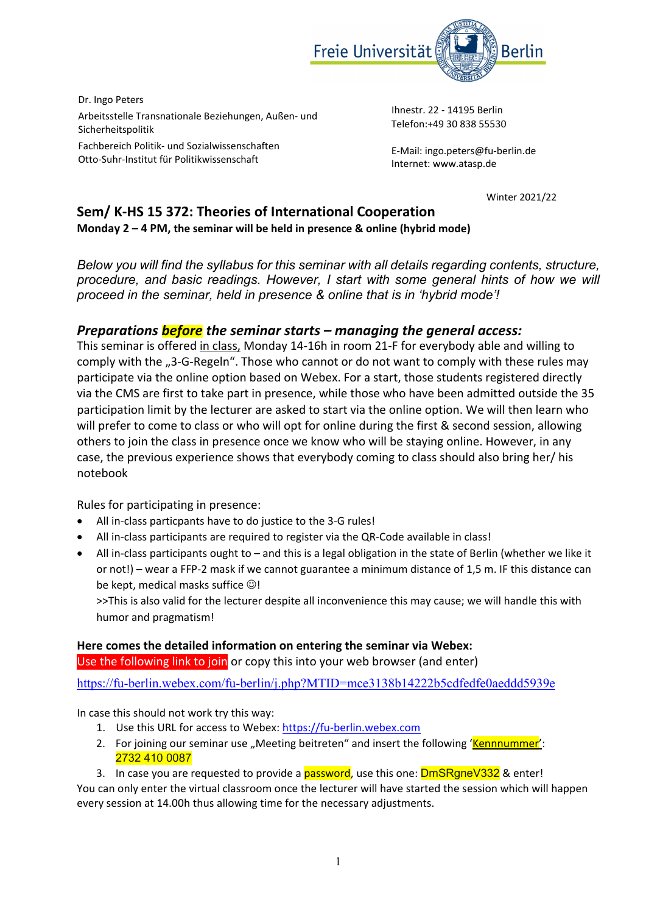

Dr. Ingo Peters Arbeitsstelle Transnationale Beziehungen, Außen‐ und Sicherheitspolitik Fachbereich Politik‐ und Sozialwissenschaften

Otto‐Suhr‐Institut für Politikwissenschaft

Ihnestr. 22 ‐ 14195 Berlin Telefon:+49 30 838 55530

E‐Mail: ingo.peters@fu‐berlin.de Internet: www.atasp.de

Winter 2021/22

## **Sem/ K‐HS 15 372: Theories of International Cooperation Monday 2 – 4 PM, the seminar will be held in presence & online (hybrid mode)**

*Below you will find the syllabus for this seminar with all details regarding contents, structure, procedure, and basic readings. However, I start with some general hints of how we will proceed in the seminar, held in presence & online that is in 'hybrid mode'!* 

## *Preparations before the seminar starts – managing the general access:*

This seminar is offered in class, Monday 14‐16h in room 21‐F for everybody able and willing to comply with the "3-G-Regeln". Those who cannot or do not want to comply with these rules may participate via the online option based on Webex. For a start, those students registered directly via the CMS are first to take part in presence, while those who have been admitted outside the 35 participation limit by the lecturer are asked to start via the online option. We will then learn who will prefer to come to class or who will opt for online during the first & second session, allowing others to join the class in presence once we know who will be staying online. However, in any case, the previous experience shows that everybody coming to class should also bring her/ his notebook

Rules for participating in presence:

- All in‐class particpants have to do justice to the 3‐G rules!
- All in-class participants are required to register via the QR-Code available in class!
- All in-class participants ought to and this is a legal obligation in the state of Berlin (whether we like it or not!) – wear a FFP‐2 mask if we cannot guarantee a minimum distance of 1,5 m. IF this distance can be kept, medical masks suffice  $\odot$ !

>>This is also valid for the lecturer despite all inconvenience this may cause; we will handle this with humor and pragmatism!

### **Here comes the detailed information on entering the seminar via Webex:**

Use the following link to join or copy this into your web browser (and enter)

https://fu-berlin.webex.com/fu-berlin/j.php?MTID=mce3138b14222b5cdfedfe0aeddd5939e

In case this should not work try this way:

- 1. Use this URL for access to Webex: https://fu-berlin.webex.com
- 2. For joining our seminar use "Meeting beitreten" and insert the following 'Kennnummer': 2732 410 0087
- 3. In case you are requested to provide a **password**, use this one: **DmSRgneV332 &** enter!

You can only enter the virtual classroom once the lecturer will have started the session which will happen every session at 14.00h thus allowing time for the necessary adjustments.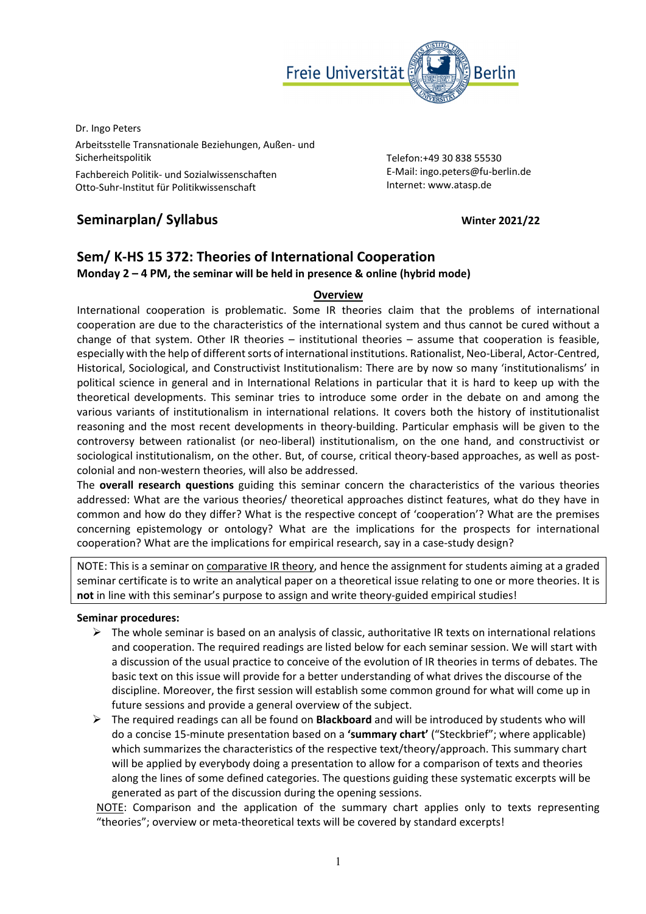

Dr. Ingo Peters Arbeitsstelle Transnationale Beziehungen, Außen‐ und Sicherheitspolitik Fachbereich Politik‐ und Sozialwissenschaften Otto‐Suhr‐Institut für Politikwissenschaft

Telefon:+49 30 838 55530 E‐Mail: ingo.peters@fu‐berlin.de Internet: www.atasp.de

# **Seminarplan/ Syllabus Winter 2021/22**

# **Sem/ K‐HS 15 372: Theories of International Cooperation**

**Monday 2 – 4 PM, the seminar will be held in presence & online (hybrid mode)**

### **Overview**

International cooperation is problematic. Some IR theories claim that the problems of international cooperation are due to the characteristics of the international system and thus cannot be cured without a change of that system. Other IR theories – institutional theories – assume that cooperation is feasible, especially with the help of different sorts of international institutions. Rationalist, Neo-Liberal, Actor-Centred, Historical, Sociological, and Constructivist Institutionalism: There are by now so many 'institutionalisms' in political science in general and in International Relations in particular that it is hard to keep up with the theoretical developments. This seminar tries to introduce some order in the debate on and among the various variants of institutionalism in international relations. It covers both the history of institutionalist reasoning and the most recent developments in theory‐building. Particular emphasis will be given to the controversy between rationalist (or neo‐liberal) institutionalism, on the one hand, and constructivist or sociological institutionalism, on the other. But, of course, critical theory-based approaches, as well as postcolonial and non‐western theories, will also be addressed.

The **overall research questions** guiding this seminar concern the characteristics of the various theories addressed: What are the various theories/ theoretical approaches distinct features, what do they have in common and how do they differ? What is the respective concept of 'cooperation'? What are the premises concerning epistemology or ontology? What are the implications for the prospects for international cooperation? What are the implications for empirical research, say in a case-study design?

NOTE: This is a seminar on comparative IR theory, and hence the assignment for students aiming at a graded seminar certificate is to write an analytical paper on a theoretical issue relating to one or more theories. It is not in line with this seminar's purpose to assign and write theory-guided empirical studies!

#### **Seminar procedures:**

- $\triangleright$  The whole seminar is based on an analysis of classic, authoritative IR texts on international relations and cooperation. The required readings are listed below for each seminar session. We will start with a discussion of the usual practice to conceive of the evolution of IR theories in terms of debates. The basic text on this issue will provide for a better understanding of what drives the discourse of the discipline. Moreover, the first session will establish some common ground for what will come up in future sessions and provide a general overview of the subject.
- The required readings can all be found on **Blackboard** and will be introduced by students who will do a concise 15‐minute presentation based on a **'summary chart'** ("Steckbrief"; where applicable) which summarizes the characteristics of the respective text/theory/approach. This summary chart will be applied by everybody doing a presentation to allow for a comparison of texts and theories along the lines of some defined categories. The questions guiding these systematic excerpts will be generated as part of the discussion during the opening sessions.

NOTE: Comparison and the application of the summary chart applies only to texts representing "theories"; overview or meta‐theoretical texts will be covered by standard excerpts!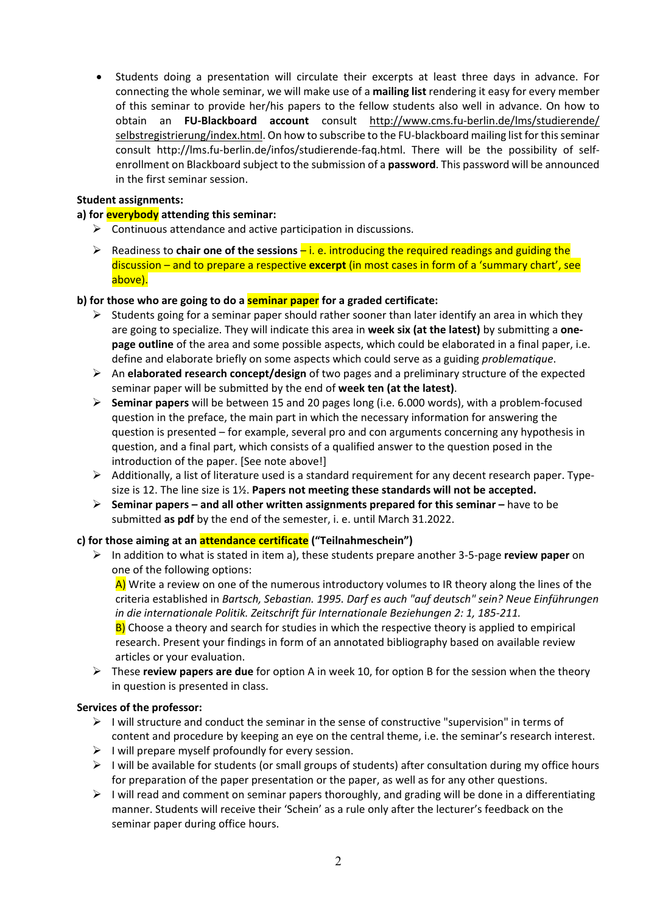Students doing a presentation will circulate their excerpts at least three days in advance. For connecting the whole seminar, we will make use of a **mailing list** rendering it easy for every member of this seminar to provide her/his papers to the fellow students also well in advance. On how to obtain an **FU‐Blackboard account** consult http://www.cms.fu‐berlin.de/lms/studierende/ selbstregistrierung/index.html. On how to subscribe to the FU-blackboard mailing list for this seminar consult http://lms.fu‐berlin.de/infos/studierende‐faq.html. There will be the possibility of self‐ enrollment on Blackboard subject to the submission of a **password**. This password will be announced in the first seminar session.

#### **Student assignments:**

#### **a) for everybody attending this seminar:**

- $\triangleright$  Continuous attendance and active participation in discussions.
- Readiness to **chair one of the sessions** i. e. introducing the required readings and guiding the discussion – and to prepare a respective **excerpt** (in most cases in form of a 'summary chart', see above).

#### **b) for those who are going to do a seminar paper for a graded certificate:**

- $\triangleright$  Students going for a seminar paper should rather sooner than later identify an area in which they are going to specialize. They will indicate this area in **week six (at the latest)** by submitting a **one‐ page outline** of the area and some possible aspects, which could be elaborated in a final paper, i.e. define and elaborate briefly on some aspects which could serve as a guiding *problematique*.
- An **elaborated research concept/design** of two pages and a preliminary structure of the expected seminar paper will be submitted by the end of **week ten (at the latest)**.
- **Seminar papers** will be between 15 and 20 pages long (i.e. 6.000 words), with a problem‐focused question in the preface, the main part in which the necessary information for answering the question is presented – for example, several pro and con arguments concerning any hypothesis in question, and a final part, which consists of a qualified answer to the question posed in the introduction of the paper. [See note above!]
- $\triangleright$  Additionally, a list of literature used is a standard requirement for any decent research paper. Typesize is 12. The line size is 1½. **Papers not meeting these standards will not be accepted.**
- **Seminar papers – and all other written assignments prepared for this seminar –** have to be submitted **as pdf** by the end of the semester, i. e. until March 31.2022.

#### **c) for those aiming at an attendance certificate ("Teilnahmeschein")**

 In addition to what is stated in item a), these students prepare another 3‐5‐page **review paper** on one of the following options:

A) Write a review on one of the numerous introductory volumes to IR theory along the lines of the criteria established in *Bartsch, Sebastian. 1995. Darf es auch "auf deutsch" sein? Neue Einführungen in die internationale Politik. Zeitschrift für Internationale Beziehungen 2: 1, 185‐211.*

 $B$ ) Choose a theory and search for studies in which the respective theory is applied to empirical research. Present your findings in form of an annotated bibliography based on available review articles or your evaluation.

 These **review papers are due** for option A in week 10, for option B for the session when the theory in question is presented in class.

#### **Services of the professor:**

- $\triangleright$  I will structure and conduct the seminar in the sense of constructive "supervision" in terms of content and procedure by keeping an eye on the central theme, i.e. the seminar's research interest.
- $\triangleright$  I will prepare myself profoundly for every session.
- $\triangleright$  I will be available for students (or small groups of students) after consultation during my office hours for preparation of the paper presentation or the paper, as well as for any other questions.
- $\triangleright$  I will read and comment on seminar papers thoroughly, and grading will be done in a differentiating manner. Students will receive their 'Schein' as a rule only after the lecturer's feedback on the seminar paper during office hours.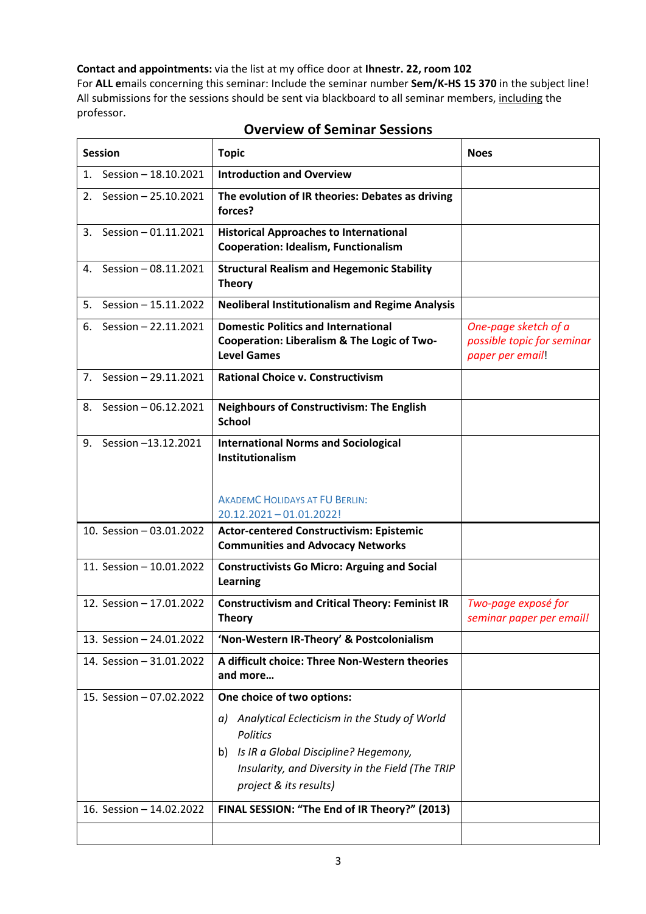**Contact and appointments:** via the list at my office door at **Ihnestr. 22, room 102**  For **ALL e**mails concerning this seminar: Include the seminar number **Sem/K‐HS 15 370** in the subject line! All submissions for the sessions should be sent via blackboard to all seminar members, including the professor.

| <b>Session</b>                                       | <b>Topic</b>                                                                                                                                                                                                                                                                     | <b>Noes</b>                                                            |
|------------------------------------------------------|----------------------------------------------------------------------------------------------------------------------------------------------------------------------------------------------------------------------------------------------------------------------------------|------------------------------------------------------------------------|
| Session - 18.10.2021<br>1.                           | <b>Introduction and Overview</b>                                                                                                                                                                                                                                                 |                                                                        |
| Session - 25.10.2021<br>2.                           | The evolution of IR theories: Debates as driving<br>forces?                                                                                                                                                                                                                      |                                                                        |
| Session - 01.11.2021<br>3.                           | <b>Historical Approaches to International</b><br><b>Cooperation: Idealism, Functionalism</b>                                                                                                                                                                                     |                                                                        |
| 4. Session - 08.11.2021                              | <b>Structural Realism and Hegemonic Stability</b><br><b>Theory</b>                                                                                                                                                                                                               |                                                                        |
| Session - 15.11.2022<br>5.                           | <b>Neoliberal Institutionalism and Regime Analysis</b>                                                                                                                                                                                                                           |                                                                        |
| Session - 22.11.2021<br>6.                           | <b>Domestic Politics and International</b><br>Cooperation: Liberalism & The Logic of Two-<br><b>Level Games</b>                                                                                                                                                                  | One-page sketch of a<br>possible topic for seminar<br>paper per email! |
| Session - 29.11.2021<br>7.                           | <b>Rational Choice v. Constructivism</b>                                                                                                                                                                                                                                         |                                                                        |
| 8. Session - 06.12.2021                              | <b>Neighbours of Constructivism: The English</b><br><b>School</b>                                                                                                                                                                                                                |                                                                        |
| Session -13.12.2021<br>9.                            | <b>International Norms and Sociological</b><br>Institutionalism<br><b>AKADEMC HOLIDAYS AT FU BERLIN:</b><br>20.12.2021-01.01.2022!                                                                                                                                               |                                                                        |
| 10. Session - 03.01.2022                             | <b>Actor-centered Constructivism: Epistemic</b>                                                                                                                                                                                                                                  |                                                                        |
|                                                      | <b>Communities and Advocacy Networks</b>                                                                                                                                                                                                                                         |                                                                        |
| 11. Session - 10.01.2022                             | <b>Constructivists Go Micro: Arguing and Social</b><br>Learning                                                                                                                                                                                                                  |                                                                        |
| 12. Session - 17.01.2022                             | <b>Constructivism and Critical Theory: Feminist IR</b><br><b>Theory</b>                                                                                                                                                                                                          | Two-page exposé for<br>seminar paper per email!                        |
| 13. Session - 24.01.2022                             | 'Non-Western IR-Theory' & Postcolonialism                                                                                                                                                                                                                                        |                                                                        |
| 14. Session - 31.01.2022                             | A difficult choice: Three Non-Western theories<br>and more                                                                                                                                                                                                                       |                                                                        |
| 15. Session - 07.02.2022<br>16. Session - 14.02.2022 | One choice of two options:<br>Analytical Eclecticism in the Study of World<br>a)<br><b>Politics</b><br>Is IR a Global Discipline? Hegemony,<br>b)<br>Insularity, and Diversity in the Field (The TRIP<br>project & its results)<br>FINAL SESSION: "The End of IR Theory?" (2013) |                                                                        |
|                                                      |                                                                                                                                                                                                                                                                                  |                                                                        |

## **Overview of Seminar Sessions**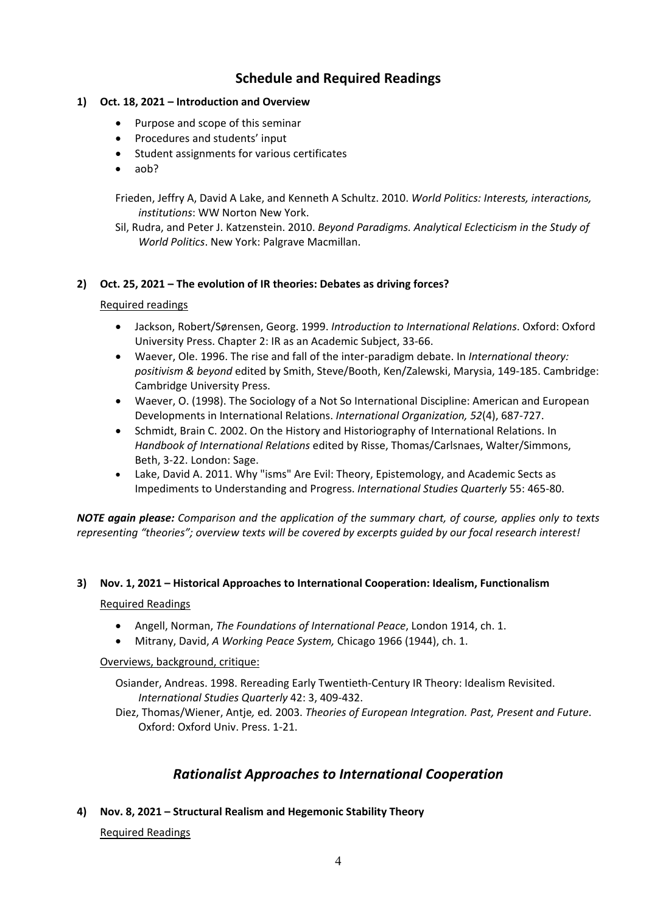## **Schedule and Required Readings**

### **1) Oct. 18, 2021 – Introduction and Overview**

- Purpose and scope of this seminar
- Procedures and students' input
- Student assignments for various certificates
- aob?

Frieden, Jeffry A, David A Lake, and Kenneth A Schultz. 2010. *World Politics: Interests, interactions, institutions*: WW Norton New York.

Sil, Rudra, and Peter J. Katzenstein. 2010. *Beyond Paradigms. Analytical Eclecticism in the Study of World Politics*. New York: Palgrave Macmillan.

#### **2) Oct. 25, 2021 – The evolution of IR theories: Debates as driving forces?**

#### Required readings

- Jackson, Robert/Sørensen, Georg. 1999. *Introduction to International Relations*. Oxford: Oxford University Press. Chapter 2: IR as an Academic Subject, 33‐66.
- Waever, Ole. 1996. The rise and fall of the inter‐paradigm debate. In *International theory: positivism & beyond* edited by Smith, Steve/Booth, Ken/Zalewski, Marysia, 149‐185. Cambridge: Cambridge University Press.
- Waever, O. (1998). The Sociology of a Not So International Discipline: American and European Developments in International Relations. *International Organization, 52*(4), 687‐727.
- Schmidt, Brain C. 2002. On the History and Historiography of International Relations. In *Handbook of International Relations* edited by Risse, Thomas/Carlsnaes, Walter/Simmons, Beth, 3‐22. London: Sage.
- Lake, David A. 2011. Why "isms" Are Evil: Theory, Epistemology, and Academic Sects as Impediments to Understanding and Progress. *International Studies Quarterly* 55: 465‐80.

*NOTE again please: Comparison and the application of the summary chart, of course, applies only to texts representing "theories"; overview texts will be covered by excerpts guided by our focal research interest!* 

#### **3) Nov. 1, 2021 – Historical Approaches to International Cooperation: Idealism, Functionalism**

#### Required Readings

- Angell, Norman, *The Foundations of International Peace*, London 1914, ch. 1.
- Mitrany, David, *A Working Peace System,* Chicago 1966 (1944), ch. 1.

Overviews, background, critique:

Osiander, Andreas. 1998. Rereading Early Twentieth‐Century IR Theory: Idealism Revisited. *International Studies Quarterly* 42: 3, 409‐432.

Diez, Thomas/Wiener, Antje*,* ed*.* 2003. *Theories of European Integration. Past, Present and Future*. Oxford: Oxford Univ. Press. 1‐21.

## *Rationalist Approaches to International Cooperation*

### **4) Nov. 8, 2021 – Structural Realism and Hegemonic Stability Theory**

#### Required Readings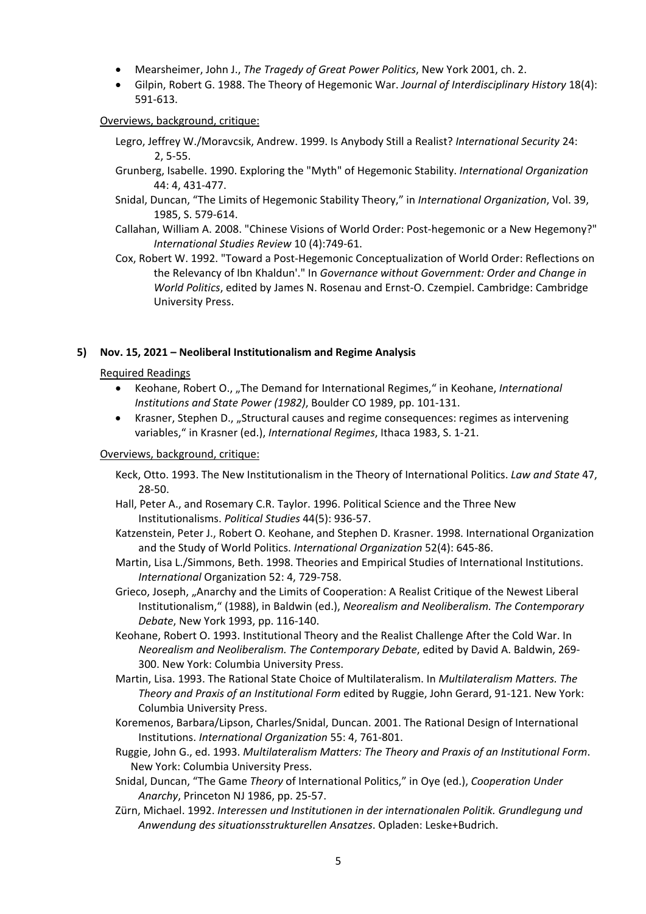- Mearsheimer, John J., *The Tragedy of Great Power Politics*, New York 2001, ch. 2.
- Gilpin, Robert G. 1988. The Theory of Hegemonic War. *Journal of Interdisciplinary History* 18(4): 591‐613.

#### Overviews, background, critique:

- Legro, Jeffrey W./Moravcsik, Andrew. 1999. Is Anybody Still a Realist? *International Security* 24: 2, 5‐55.
- Grunberg, Isabelle. 1990. Exploring the "Myth" of Hegemonic Stability. *International Organization* 44: 4, 431‐477.
- Snidal, Duncan, "The Limits of Hegemonic Stability Theory," in *International Organization*, Vol. 39, 1985, S. 579‐614.
- Callahan, William A. 2008. "Chinese Visions of World Order: Post‐hegemonic or a New Hegemony?" *International Studies Review* 10 (4):749‐61.
- Cox, Robert W. 1992. "Toward a Post‐Hegemonic Conceptualization of World Order: Reflections on the Relevancy of Ibn Khaldun'." In *Governance without Government: Order and Change in World Politics*, edited by James N. Rosenau and Ernst‐O. Czempiel. Cambridge: Cambridge University Press.

#### **5) Nov. 15, 2021 – Neoliberal Institutionalism and Regime Analysis**

#### Required Readings

- Keohane, Robert O., "The Demand for International Regimes," in Keohane, *International Institutions and State Power (1982)*, Boulder CO 1989, pp. 101‐131.
- Krasner, Stephen D., "Structural causes and regime consequences: regimes as intervening variables," in Krasner (ed.), *International Regimes*, Ithaca 1983, S. 1‐21.

#### Overviews, background, critique:

- Keck, Otto. 1993. The New Institutionalism in the Theory of International Politics. *Law and State* 47, 28‐50.
- Hall, Peter A., and Rosemary C.R. Taylor. 1996. Political Science and the Three New Institutionalisms. *Political Studies* 44(5): 936‐57.
- Katzenstein, Peter J., Robert O. Keohane, and Stephen D. Krasner. 1998. International Organization and the Study of World Politics. *International Organization* 52(4): 645‐86.
- Martin, Lisa L./Simmons, Beth. 1998. Theories and Empirical Studies of International Institutions. *International* Organization 52: 4, 729‐758.
- Grieco, Joseph, "Anarchy and the Limits of Cooperation: A Realist Critique of the Newest Liberal Institutionalism," (1988), in Baldwin (ed.), *Neorealism and Neoliberalism. The Contemporary Debate*, New York 1993, pp. 116‐140.
- Keohane, Robert O. 1993. Institutional Theory and the Realist Challenge After the Cold War. In *Neorealism and Neoliberalism. The Contemporary Debate*, edited by David A. Baldwin, 269‐ 300. New York: Columbia University Press.
- Martin, Lisa. 1993. The Rational State Choice of Multilateralism. In *Multilateralism Matters. The Theory and Praxis of an Institutional Form* edited by Ruggie, John Gerard, 91‐121. New York: Columbia University Press.
- Koremenos, Barbara/Lipson, Charles/Snidal, Duncan. 2001. The Rational Design of International Institutions. *International Organization* 55: 4, 761‐801.
- Ruggie, John G., ed. 1993. *Multilateralism Matters: The Theory and Praxis of an Institutional Form*. New York: Columbia University Press.
- Snidal, Duncan, "The Game *Theory* of International Politics," in Oye (ed.), *Cooperation Under Anarchy*, Princeton NJ 1986, pp. 25‐57.
- Zürn, Michael. 1992. *Interessen und Institutionen in der internationalen Politik. Grundlegung und Anwendung des situationsstrukturellen Ansatzes*. Opladen: Leske+Budrich.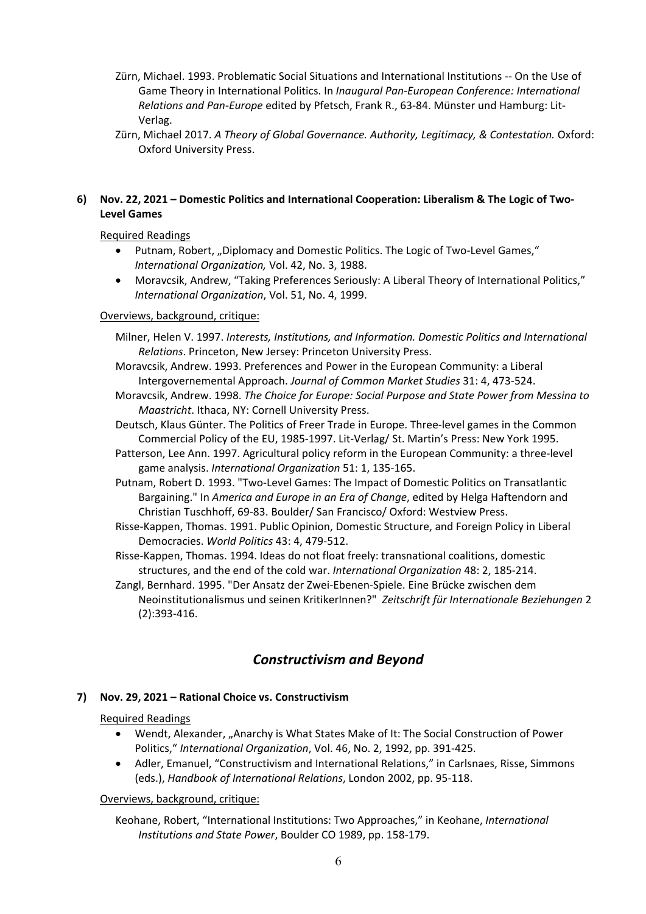- Zürn, Michael. 1993. Problematic Social Situations and International Institutions ‐‐ On the Use of Game Theory in International Politics. In *Inaugural Pan‐European Conference: International Relations and Pan‐Europe* edited by Pfetsch, Frank R., 63‐84. Münster und Hamburg: Lit‐ Verlag.
- Zürn, Michael 2017. *A Theory of Global Governance. Authority, Legitimacy, & Contestation.* Oxford: Oxford University Press.

### **6) Nov. 22, 2021 – Domestic Politics and International Cooperation: Liberalism & The Logic of Two‐ Level Games**

Required Readings

- Putnam, Robert, "Diplomacy and Domestic Politics. The Logic of Two-Level Games," *International Organization,* Vol. 42, No. 3, 1988.
- Moravcsik, Andrew, "Taking Preferences Seriously: A Liberal Theory of International Politics," *International Organization*, Vol. 51, No. 4, 1999.

#### Overviews, background, critique:

- Milner, Helen V. 1997. *Interests, Institutions, and Information. Domestic Politics and International Relations*. Princeton, New Jersey: Princeton University Press.
- Moravcsik, Andrew. 1993. Preferences and Power in the European Community: a Liberal Intergovernemental Approach. *Journal of Common Market Studies* 31: 4, 473‐524.
- Moravcsik, Andrew. 1998. *The Choice for Europe: Social Purpose and State Power from Messina to Maastricht*. Ithaca, NY: Cornell University Press.
- Deutsch, Klaus Günter. The Politics of Freer Trade in Europe. Three‐level games in the Common Commercial Policy of the EU, 1985‐1997. Lit‐Verlag/ St. Martin's Press: New York 1995.
- Patterson, Lee Ann. 1997. Agricultural policy reform in the European Community: a three‐level game analysis. *International Organization* 51: 1, 135‐165.
- Putnam, Robert D. 1993. "Two‐Level Games: The Impact of Domestic Politics on Transatlantic Bargaining." In *America and Europe in an Era of Change*, edited by Helga Haftendorn and Christian Tuschhoff, 69‐83. Boulder/ San Francisco/ Oxford: Westview Press.
- Risse‐Kappen, Thomas. 1991. Public Opinion, Domestic Structure, and Foreign Policy in Liberal Democracies. *World Politics* 43: 4, 479‐512.
- Risse‐Kappen, Thomas. 1994. Ideas do not float freely: transnational coalitions, domestic structures, and the end of the cold war. *International Organization* 48: 2, 185‐214.
- Zangl, Bernhard. 1995. "Der Ansatz der Zwei‐Ebenen‐Spiele. Eine Brücke zwischen dem Neoinstitutionalismus und seinen KritikerInnen?" *Zeitschrift für Internationale Beziehungen* 2 (2):393‐416.

## *Constructivism and Beyond*

### **7) Nov. 29, 2021 – Rational Choice vs. Constructivism**

#### Required Readings

- Wendt, Alexander, "Anarchy is What States Make of It: The Social Construction of Power Politics," *International Organization*, Vol. 46, No. 2, 1992, pp. 391‐425.
- Adler, Emanuel, "Constructivism and International Relations," in Carlsnaes, Risse, Simmons (eds.), *Handbook of International Relations*, London 2002, pp. 95‐118.

#### Overviews, background, critique:

Keohane, Robert, "International Institutions: Two Approaches," in Keohane, *International Institutions and State Power*, Boulder CO 1989, pp. 158‐179.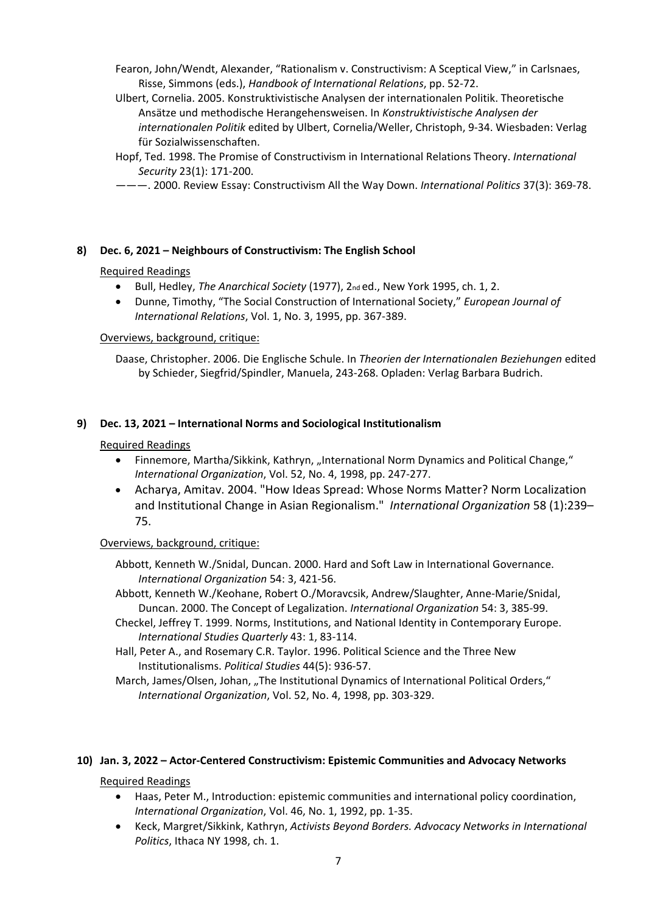Fearon, John/Wendt, Alexander, "Rationalism v. Constructivism: A Sceptical View," in Carlsnaes, Risse, Simmons (eds.), *Handbook of International Relations*, pp. 52‐72.

- Ulbert, Cornelia. 2005. Konstruktivistische Analysen der internationalen Politik. Theoretische Ansätze und methodische Herangehensweisen. In *Konstruktivistische Analysen der internationalen Politik* edited by Ulbert, Cornelia/Weller, Christoph, 9‐34. Wiesbaden: Verlag für Sozialwissenschaften.
- Hopf, Ted. 1998. The Promise of Constructivism in International Relations Theory. *International Security* 23(1): 171‐200.
- ———. 2000. Review Essay: Constructivism All the Way Down. *International Politics* 37(3): 369‐78.

#### **8) Dec. 6, 2021 – Neighbours of Constructivism: The English School**

#### Required Readings

- Bull, Hedley, *The Anarchical Society* (1977), 2nd ed., New York 1995, ch. 1, 2.
- Dunne, Timothy, "The Social Construction of International Society," *European Journal of International Relations*, Vol. 1, No. 3, 1995, pp. 367‐389.

#### Overviews, background, critique:

Daase, Christopher. 2006. Die Englische Schule. In *Theorien der Internationalen Beziehungen* edited by Schieder, Siegfrid/Spindler, Manuela, 243‐268. Opladen: Verlag Barbara Budrich.

#### **9) Dec. 13, 2021 – International Norms and Sociological Institutionalism**

#### Required Readings

- Finnemore, Martha/Sikkink, Kathryn, "International Norm Dynamics and Political Change," *International Organization*, Vol. 52, No. 4, 1998, pp. 247‐277.
- Acharya, Amitav. 2004. "How Ideas Spread: Whose Norms Matter? Norm Localization and Institutional Change in Asian Regionalism." *International Organization* 58 (1):239– 75.

#### Overviews, background, critique:

- Abbott, Kenneth W./Snidal, Duncan. 2000. Hard and Soft Law in International Governance. *International Organization* 54: 3, 421‐56.
- Abbott, Kenneth W./Keohane, Robert O./Moravcsik, Andrew/Slaughter, Anne‐Marie/Snidal, Duncan. 2000. The Concept of Legalization. *International Organization* 54: 3, 385‐99.
- Checkel, Jeffrey T. 1999. Norms, Institutions, and National Identity in Contemporary Europe. *International Studies Quarterly* 43: 1, 83‐114.
- Hall, Peter A., and Rosemary C.R. Taylor. 1996. Political Science and the Three New Institutionalisms. *Political Studies* 44(5): 936‐57.
- March, James/Olsen, Johan, "The Institutional Dynamics of International Political Orders," *International Organization*, Vol. 52, No. 4, 1998, pp. 303‐329.

#### **10) Jan. 3, 2022 – Actor‐Centered Constructivism: Epistemic Communities and Advocacy Networks**

#### Required Readings

- Haas, Peter M., Introduction: epistemic communities and international policy coordination, *International Organization*, Vol. 46, No. 1, 1992, pp. 1‐35.
- Keck, Margret/Sikkink, Kathryn, *Activists Beyond Borders. Advocacy Networks in International Politics*, Ithaca NY 1998, ch. 1.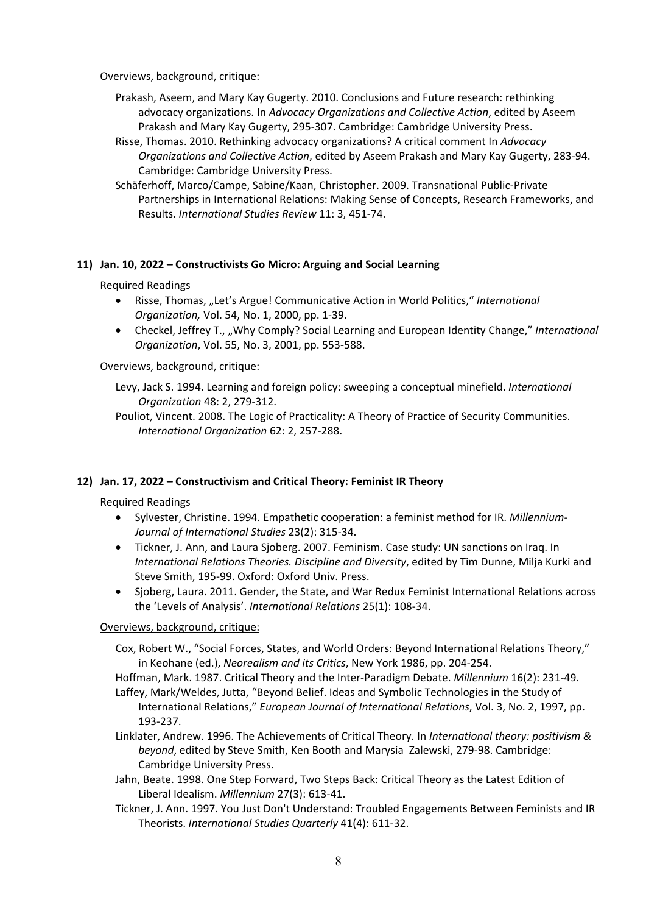Overviews, background, critique:

- Prakash, Aseem, and Mary Kay Gugerty. 2010. Conclusions and Future research: rethinking advocacy organizations. In *Advocacy Organizations and Collective Action*, edited by Aseem Prakash and Mary Kay Gugerty, 295‐307. Cambridge: Cambridge University Press.
- Risse, Thomas. 2010. Rethinking advocacy organizations? A critical comment In *Advocacy Organizations and Collective Action*, edited by Aseem Prakash and Mary Kay Gugerty, 283‐94. Cambridge: Cambridge University Press.
- Schäferhoff, Marco/Campe, Sabine/Kaan, Christopher. 2009. Transnational Public‐Private Partnerships in International Relations: Making Sense of Concepts, Research Frameworks, and Results. *International Studies Review* 11: 3, 451‐74.

#### **11) Jan. 10, 2022 – Constructivists Go Micro: Arguing and Social Learning**

#### Required Readings

- Risse, Thomas, "Let's Argue! Communicative Action in World Politics," *International Organization,* Vol. 54, No. 1, 2000, pp. 1‐39.
- Checkel, Jeffrey T., "Why Comply? Social Learning and European Identity Change," *International Organization*, Vol. 55, No. 3, 2001, pp. 553‐588.

#### Overviews, background, critique:

Levy, Jack S. 1994. Learning and foreign policy: sweeping a conceptual minefield. *International Organization* 48: 2, 279‐312.

Pouliot, Vincent. 2008. The Logic of Practicality: A Theory of Practice of Security Communities. *International Organization* 62: 2, 257‐288.

#### **12) Jan. 17, 2022 – Constructivism and Critical Theory: Feminist IR Theory**

#### Required Readings

- Sylvester, Christine. 1994. Empathetic cooperation: a feminist method for IR. *Millennium‐ Journal of International Studies* 23(2): 315‐34.
- Tickner, J. Ann, and Laura Sjoberg. 2007. Feminism. Case study: UN sanctions on Iraq. In *International Relations Theories. Discipline and Diversity*, edited by Tim Dunne, Milja Kurki and Steve Smith, 195‐99. Oxford: Oxford Univ. Press.
- Sjoberg, Laura. 2011. Gender, the State, and War Redux Feminist International Relations across the 'Levels of Analysis'. *International Relations* 25(1): 108‐34.

#### Overviews, background, critique:

- Cox, Robert W., "Social Forces, States, and World Orders: Beyond International Relations Theory," in Keohane (ed.), *Neorealism and its Critics*, New York 1986, pp. 204‐254.
- Hoffman, Mark. 1987. Critical Theory and the Inter‐Paradigm Debate. *Millennium* 16(2): 231‐49.
- Laffey, Mark/Weldes, Jutta, "Beyond Belief. Ideas and Symbolic Technologies in the Study of International Relations," *European Journal of International Relations*, Vol. 3, No. 2, 1997, pp. 193‐237.
- Linklater, Andrew. 1996. The Achievements of Critical Theory. In *International theory: positivism & beyond*, edited by Steve Smith, Ken Booth and Marysia Zalewski, 279‐98. Cambridge: Cambridge University Press.
- Jahn, Beate. 1998. One Step Forward, Two Steps Back: Critical Theory as the Latest Edition of Liberal Idealism. *Millennium* 27(3): 613‐41.
- Tickner, J. Ann. 1997. You Just Don't Understand: Troubled Engagements Between Feminists and IR Theorists. *International Studies Quarterly* 41(4): 611‐32.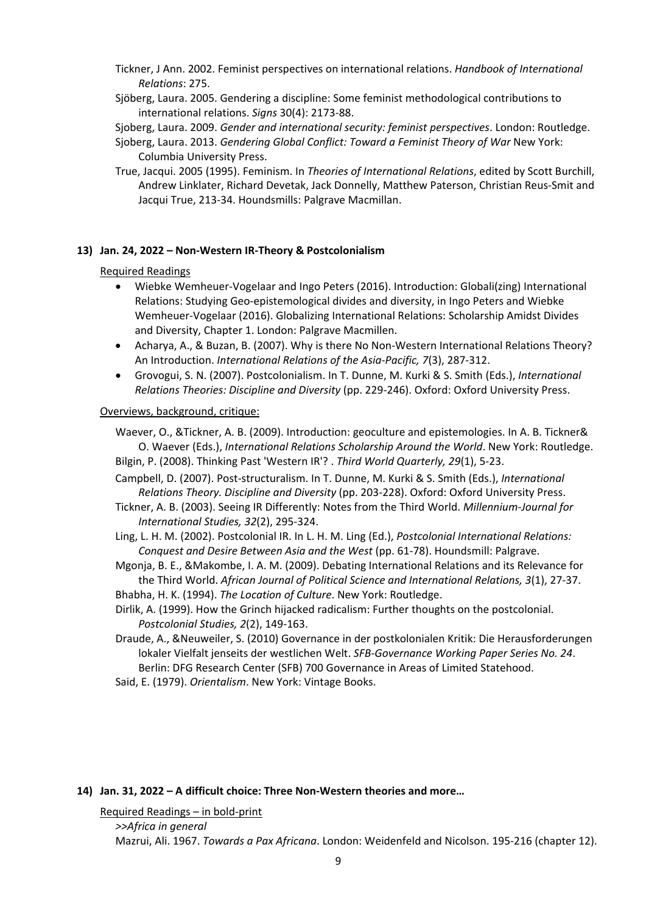- Tickner, J Ann. 2002. Feminist perspectives on international relations. *Handbook of International Relations*: 275.
- Sjöberg, Laura. 2005. Gendering a discipline: Some feminist methodological contributions to international relations. *Signs* 30(4): 2173‐88.
- Sjoberg, Laura. 2009. *Gender and international security: feminist perspectives*. London: Routledge.
- Sjoberg, Laura. 2013. *Gendering Global Conflict: Toward a Feminist Theory of War* New York: Columbia University Press.
- True, Jacqui. 2005 (1995). Feminism. In *Theories of International Relations*, edited by Scott Burchill, Andrew Linklater, Richard Devetak, Jack Donnelly, Matthew Paterson, Christian Reus‐Smit and Jacqui True, 213‐34. Houndsmills: Palgrave Macmillan.

#### **13) Jan. 24, 2022 – Non‐Western IR‐Theory & Postcolonialism**

#### Required Readings

- Wiebke Wemheuer-Vogelaar and Ingo Peters (2016). Introduction: Globali(zing) International Relations: Studying Geo‐epistemological divides and diversity, in Ingo Peters and Wiebke Wemheuer‐Vogelaar (2016). Globalizing International Relations: Scholarship Amidst Divides and Diversity, Chapter 1. London: Palgrave Macmillen.
- Acharya, A., & Buzan, B. (2007). Why is there No Non-Western International Relations Theory? An Introduction. *International Relations of the Asia‐Pacific, 7*(3), 287‐312.
- Grovogui, S. N. (2007). Postcolonialism. In T. Dunne, M. Kurki & S. Smith (Eds.), *International Relations Theories: Discipline and Diversity* (pp. 229‐246). Oxford: Oxford University Press.

#### Overviews, background, critique:

Waever, O., &Tickner, A. B. (2009). Introduction: geoculture and epistemologies. In A. B. Tickner& O. Waever (Eds.), *International Relations Scholarship Around the World*. New York: Routledge. Bilgin, P. (2008). Thinking Past 'Western IR'? . *Third World Quarterly, 29*(1), 5‐23.

- Campbell, D. (2007). Post‐structuralism. In T. Dunne, M. Kurki & S. Smith (Eds.), *International Relations Theory. Discipline and Diversity* (pp. 203‐228). Oxford: Oxford University Press.
- Tickner, A. B. (2003). Seeing IR Differently: Notes from the Third World. *Millennium‐Journal for International Studies, 32*(2), 295‐324.
- Ling, L. H. M. (2002). Postcolonial IR. In L. H. M. Ling (Ed.), *Postcolonial International Relations: Conquest and Desire Between Asia and the West* (pp. 61‐78). Houndsmill: Palgrave.
- Mgonja, B. E., &Makombe, I. A. M. (2009). Debating International Relations and its Relevance for the Third World. *African Journal of Political Science and International Relations, 3*(1), 27‐37. Bhabha, H. K. (1994). *The Location of Culture*. New York: Routledge.
- Dirlik, A. (1999). How the Grinch hijacked radicalism: Further thoughts on the postcolonial.
- *Postcolonial Studies, 2*(2), 149‐163. Draude, A., &Neuweiler, S. (2010) Governance in der postkolonialen Kritik: Die Herausforderungen
- lokaler Vielfalt jenseits der westlichen Welt. *SFB‐Governance Working Paper Series No. 24*. Berlin: DFG Research Center (SFB) 700 Governance in Areas of Limited Statehood.
- Said, E. (1979). *Orientalism*. New York: Vintage Books.

#### **14) Jan. 31, 2022 – A difficult choice: Three Non‐Western theories and more…**

Required Readings – in bold‐print

*>>Africa in general* Mazrui, Ali. 1967. *Towards a Pax Africana*. London: Weidenfeld and Nicolson. 195‐216 (chapter 12).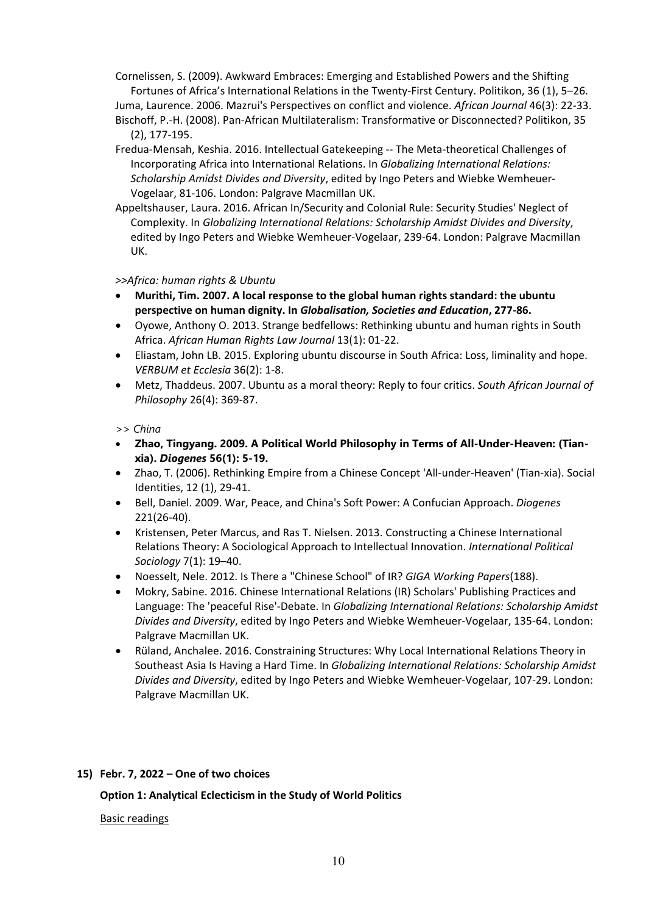Cornelissen, S. (2009). Awkward Embraces: Emerging and Established Powers and the Shifting Fortunes of Africa's International Relations in the Twenty‐First Century. Politikon, 36 (1), 5–26.

Juma, Laurence. 2006. Mazrui's Perspectives on conflict and violence. *African Journal* 46(3): 22‐33. Bischoff, P.‐H. (2008). Pan‐African Multilateralism: Transformative or Disconnected? Politikon, 35 (2), 177‐195.

- Fredua‐Mensah, Keshia. 2016. Intellectual Gatekeeping ‐‐ The Meta‐theoretical Challenges of Incorporating Africa into International Relations. In *Globalizing International Relations: Scholarship Amidst Divides and Diversity*, edited by Ingo Peters and Wiebke Wemheuer‐ Vogelaar, 81‐106. London: Palgrave Macmillan UK.
- Appeltshauser, Laura. 2016. African In/Security and Colonial Rule: Security Studies' Neglect of Complexity. In *Globalizing International Relations: Scholarship Amidst Divides and Diversity*, edited by Ingo Peters and Wiebke Wemheuer‐Vogelaar, 239‐64. London: Palgrave Macmillan UK.

#### *>>Africa: human rights & Ubuntu*

- **Murithi, Tim. 2007. A local response to the global human rights standard: the ubuntu perspective on human dignity. In** *Globalisation, Societies and Education***, 277‐86.**
- Oyowe, Anthony O. 2013. Strange bedfellows: Rethinking ubuntu and human rights in South Africa. *African Human Rights Law Journal* 13(1): 01‐22.
- Eliastam, John LB. 2015. Exploring ubuntu discourse in South Africa: Loss, liminality and hope. *VERBUM et Ecclesia* 36(2): 1‐8.
- Metz, Thaddeus. 2007. Ubuntu as a moral theory: Reply to four critics. *South African Journal of Philosophy* 26(4): 369‐87.

#### *>> China*

- **Zhao, Tingyang. 2009. A Political World Philosophy in Terms of All-Under-Heaven: (Tianxia).** *Diogenes* **56(1): 5-19.**
- Zhao, T. (2006). Rethinking Empire from a Chinese Concept 'All‐under‐Heaven' (Tian‐xia). Social Identities, 12 (1), 29‐41.
- Bell, Daniel. 2009. War, Peace, and China's Soft Power: A Confucian Approach. *Diogenes* 221(26‐40).
- Kristensen, Peter Marcus, and Ras T. Nielsen. 2013. Constructing a Chinese International Relations Theory: A Sociological Approach to Intellectual Innovation. *International Political Sociology* 7(1): 19–40.
- Noesselt, Nele. 2012. Is There a "Chinese School" of IR? *GIGA Working Papers*(188).
- Mokry, Sabine. 2016. Chinese International Relations (IR) Scholars' Publishing Practices and Language: The 'peaceful Rise'‐Debate. In *Globalizing International Relations: Scholarship Amidst Divides and Diversity*, edited by Ingo Peters and Wiebke Wemheuer‐Vogelaar, 135‐64. London: Palgrave Macmillan UK.
- Rüland, Anchalee. 2016. Constraining Structures: Why Local International Relations Theory in Southeast Asia Is Having a Hard Time. In *Globalizing International Relations: Scholarship Amidst Divides and Diversity*, edited by Ingo Peters and Wiebke Wemheuer‐Vogelaar, 107‐29. London: Palgrave Macmillan UK.

#### **15) Febr. 7, 2022 – One of two choices**

**Option 1: Analytical Eclecticism in the Study of World Politics** 

#### Basic readings